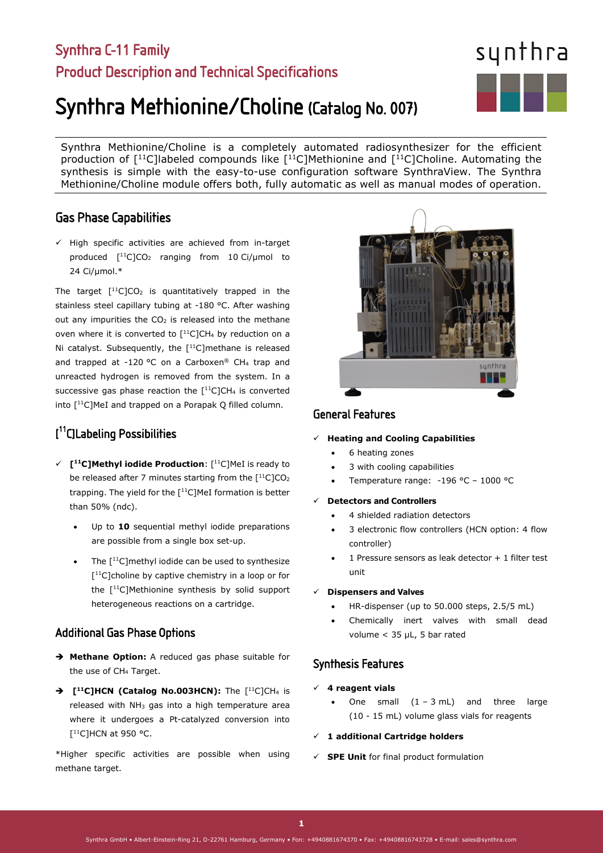# Synthra C-11 Family Product Description and Technical Specifications

# Synthra Methionine/Choline (Catalog No. 007)

Synthra Methionine/Choline is a completely automated radiosynthesizer for the efficient production of  $[11C]$ labeled compounds like  $[11C]$ Methionine and  $[11C]$ Choline. Automating the synthesis is simple with the easy-to-use configuration software SynthraView. The Synthra Methionine/Choline module offers both, fully automatic as well as manual modes of operation.

# Gas Phase Capabilities

 $\checkmark$  High specific activities are achieved from in-target produced  $[$ <sup>11</sup>C]CO<sub>2</sub> ranging from 10 Ci/µmol to 24 Ci/µmol.\*

The target  $[$ <sup>11</sup>C]CO<sub>2</sub> is quantitatively trapped in the stainless steel capillary tubing at -180 °C. After washing out any impurities the  $CO<sub>2</sub>$  is released into the methane oven where it is converted to  $[$ <sup>11</sup>C]CH<sub>4</sub> by reduction on a Ni catalyst. Subsequently, the  $[$ <sup>11</sup>C]methane is released and trapped at -120 °C on a Carboxen® CH4 trap and unreacted hydrogen is removed from the system. In a successive gas phase reaction the  $[$ <sup>11</sup>C]CH<sub>4</sub> is converted into [<sup>11</sup>C]MeI and trapped on a Porapak Q filled column.

# [ 11C]Labeling Possibilities

- **[11C]Methyl iodide Production**: [11C]MeI is ready to be released after 7 minutes starting from the  $[11C1CO<sub>2</sub>]$ trapping. The yield for the [<sup>11</sup>C]MeI formation is better than 50% (ndc).
	- Up to 10 sequential methyl iodide preparations are possible from a single box set-up.
	- The  $[$ <sup>11</sup>C]methyl iodide can be used to synthesize [<sup>11</sup>C]choline by captive chemistry in a loop or for the [11C]Methionine synthesis by solid support heterogeneous reactions on a cartridge.

# Additional Gas Phase Options

- **Methane Option:** A reduced gas phase suitable for the use of CH<sub>4</sub> Target.
- → [<sup>11</sup>C]HCN (Catalog No.003HCN): The [<sup>11</sup>C]CH<sub>4</sub> is released with  $NH<sub>3</sub>$  gas into a high temperature area where it undergoes a Pt-catalyzed conversion into  $[$ <sup>11</sup>C]HCN at 950 °C.

\*Higher specific activities are possible when using methane target.

# General Features

### **Heating and Cooling Capabilities**

- 6 heating zones
- 3 with cooling capabilities
- Temperature range: -196 °C 1000 °C

#### **Detectors and Controllers**

- 4 shielded radiation detectors
- 3 electronic flow controllers (HCN option: 4 flow controller)
- 1 Pressure sensors as leak detector + 1 filter test unit

#### **Dispensers and Valves**

- HR-dispenser (up to 50.000 steps, 2.5/5 mL)
- Chemically inert valves with small dead volume < 35 µL, 5 bar rated

# Synthesis Features

#### **4 reagent vials**

One small  $(1 - 3 mL)$  and three large (10 - 15 mL) volume glass vials for reagents

#### **1 additional Cartridge holders**

**SPE Unit** for final product formulation